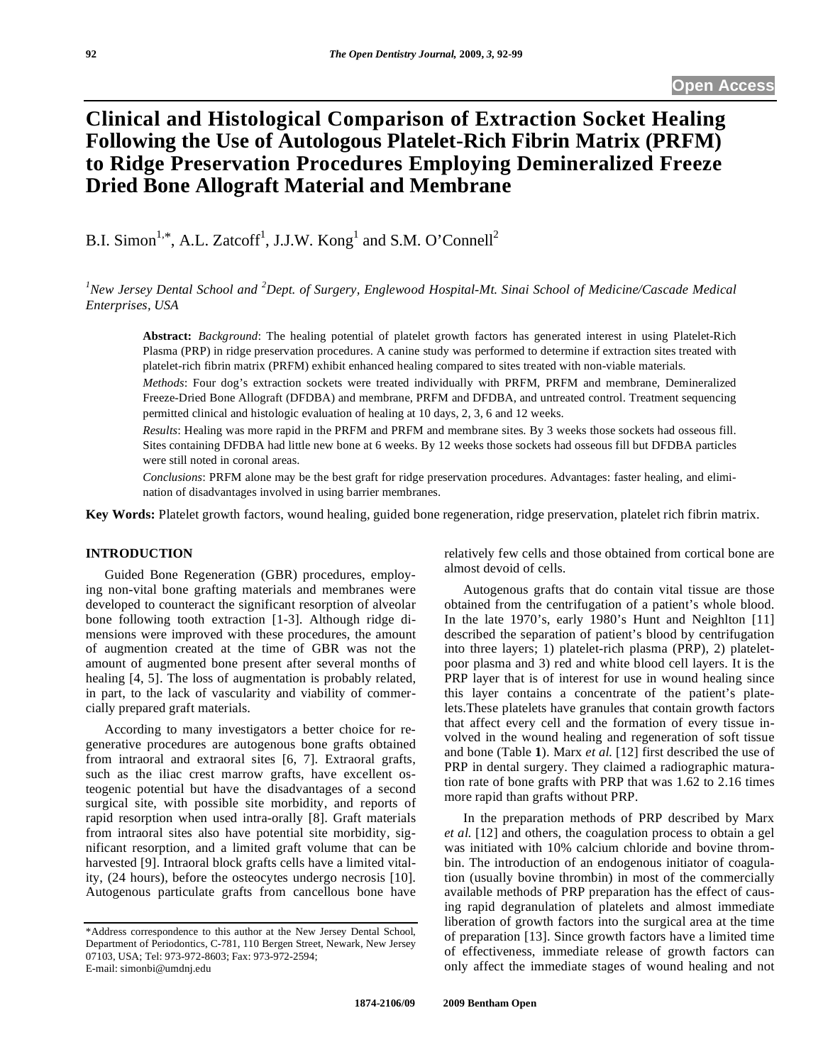# **Clinical and Histological Comparison of Extraction Socket Healing Following the Use of Autologous Platelet-Rich Fibrin Matrix (PRFM) to Ridge Preservation Procedures Employing Demineralized Freeze Dried Bone Allograft Material and Membrane**

B.I. Simon<sup>1,\*</sup>, A.L. Zatcoff<sup>1</sup>, J.J.W. Kong<sup>1</sup> and S.M. O'Connell<sup>2</sup>

<sup>1</sup> New Jersey Dental School and <sup>2</sup> Dept. of Surgery, Englewood Hospital-Mt. Sinai School of Medicine/Cascade Medical *Enterprises, USA*

**Abstract:** *Background*: The healing potential of platelet growth factors has generated interest in using Platelet-Rich Plasma (PRP) in ridge preservation procedures. A canine study was performed to determine if extraction sites treated with platelet-rich fibrin matrix (PRFM) exhibit enhanced healing compared to sites treated with non-viable materials.

*Methods*: Four dog's extraction sockets were treated individually with PRFM, PRFM and membrane, Demineralized Freeze-Dried Bone Allograft (DFDBA) and membrane, PRFM and DFDBA, and untreated control. Treatment sequencing permitted clinical and histologic evaluation of healing at 10 days, 2, 3, 6 and 12 weeks.

*Results*: Healing was more rapid in the PRFM and PRFM and membrane sites. By 3 weeks those sockets had osseous fill. Sites containing DFDBA had little new bone at 6 weeks. By 12 weeks those sockets had osseous fill but DFDBA particles were still noted in coronal areas.

*Conclusions*: PRFM alone may be the best graft for ridge preservation procedures. Advantages: faster healing, and elimination of disadvantages involved in using barrier membranes.

**Key Words:** Platelet growth factors, wound healing, guided bone regeneration, ridge preservation, platelet rich fibrin matrix.

# **INTRODUCTION**

 Guided Bone Regeneration (GBR) procedures, employing non-vital bone grafting materials and membranes were developed to counteract the significant resorption of alveolar bone following tooth extraction [1-3]. Although ridge dimensions were improved with these procedures, the amount of augmention created at the time of GBR was not the amount of augmented bone present after several months of healing [4, 5]. The loss of augmentation is probably related, in part, to the lack of vascularity and viability of commercially prepared graft materials.

 According to many investigators a better choice for regenerative procedures are autogenous bone grafts obtained from intraoral and extraoral sites [6, 7]. Extraoral grafts, such as the iliac crest marrow grafts, have excellent osteogenic potential but have the disadvantages of a second surgical site, with possible site morbidity, and reports of rapid resorption when used intra-orally [8]. Graft materials from intraoral sites also have potential site morbidity, significant resorption, and a limited graft volume that can be harvested [9]. Intraoral block grafts cells have a limited vitality, (24 hours), before the osteocytes undergo necrosis [10]. Autogenous particulate grafts from cancellous bone have

relatively few cells and those obtained from cortical bone are almost devoid of cells.

 Autogenous grafts that do contain vital tissue are those obtained from the centrifugation of a patient's whole blood. In the late 1970's, early 1980's Hunt and Neighlton [11] described the separation of patient's blood by centrifugation into three layers; 1) platelet-rich plasma (PRP), 2) plateletpoor plasma and 3) red and white blood cell layers. It is the PRP layer that is of interest for use in wound healing since this layer contains a concentrate of the patient's platelets.These platelets have granules that contain growth factors that affect every cell and the formation of every tissue involved in the wound healing and regeneration of soft tissue and bone (Table **1**). Marx *et al.* [12] first described the use of PRP in dental surgery. They claimed a radiographic maturation rate of bone grafts with PRP that was 1.62 to 2.16 times more rapid than grafts without PRP.

 In the preparation methods of PRP described by Marx *et al.* [12] and others, the coagulation process to obtain a gel was initiated with 10% calcium chloride and bovine thrombin. The introduction of an endogenous initiator of coagulation (usually bovine thrombin) in most of the commercially available methods of PRP preparation has the effect of causing rapid degranulation of platelets and almost immediate liberation of growth factors into the surgical area at the time of preparation [13]. Since growth factors have a limited time of effectiveness, immediate release of growth factors can only affect the immediate stages of wound healing and not

<sup>\*</sup>Address correspondence to this author at the New Jersey Dental School, Department of Periodontics, C-781, 110 Bergen Street, Newark, New Jersey 07103, USA; Tel: 973-972-8603; Fax: 973-972-2594; E-mail: simonbi@umdnj.edu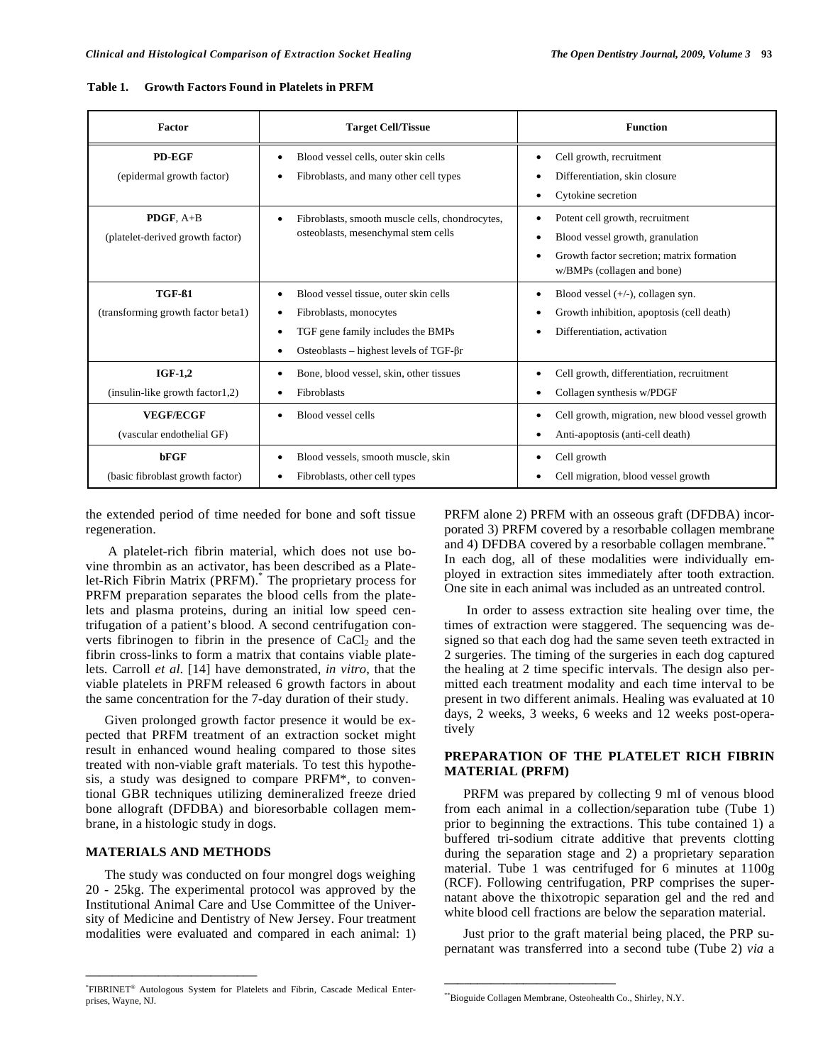| Table 1. | <b>Growth Factors Found in Platelets in PRFM</b> |
|----------|--------------------------------------------------|
|          |                                                  |

| Factor                                          | <b>Target Cell/Tissue</b>                                                                                                                                                          | <b>Function</b>                                                                                                                                             |  |  |
|-------------------------------------------------|------------------------------------------------------------------------------------------------------------------------------------------------------------------------------------|-------------------------------------------------------------------------------------------------------------------------------------------------------------|--|--|
| PD-EGF<br>(epidermal growth factor)             | Blood vessel cells, outer skin cells<br>Fibroblasts, and many other cell types                                                                                                     | Cell growth, recruitment<br>Differentiation, skin closure<br>Cytokine secretion<br>٠                                                                        |  |  |
| PDGF, A+B<br>(platelet-derived growth factor)   | Fibroblasts, smooth muscle cells, chondrocytes,<br>$\bullet$<br>osteoblasts, mesenchymal stem cells                                                                                | Potent cell growth, recruitment<br>$\bullet$<br>Blood vessel growth, granulation<br>Growth factor secretion; matrix formation<br>w/BMPs (collagen and bone) |  |  |
| TGF-61<br>(transforming growth factor beta1)    | Blood vessel tissue, outer skin cells<br>$\bullet$<br>Fibroblasts, monocytes<br>٠<br>TGF gene family includes the BMPs<br>٠<br>Osteoblasts – highest levels of TGF- $\beta r$<br>٠ | Blood vessel $(+/-)$ , collagen syn.<br>$\bullet$<br>Growth inhibition, apoptosis (cell death)<br>٠<br>Differentiation, activation<br>٠                     |  |  |
| $IGF-1.2$<br>$(insulin-like growth factor1,2)$  | Bone, blood vessel, skin, other tissues<br><b>Fibroblasts</b>                                                                                                                      | Cell growth, differentiation, recruitment<br>Collagen synthesis w/PDGF                                                                                      |  |  |
| <b>VEGF/ECGF</b><br>(vascular endothelial GF)   | Blood vessel cells<br>$\bullet$                                                                                                                                                    | Cell growth, migration, new blood vessel growth<br>٠<br>Anti-apoptosis (anti-cell death)                                                                    |  |  |
| <b>bFGF</b><br>(basic fibroblast growth factor) | Blood vessels, smooth muscle, skin<br>٠<br>Fibroblasts, other cell types                                                                                                           | Cell growth<br>Cell migration, blood vessel growth<br>٠                                                                                                     |  |  |

the extended period of time needed for bone and soft tissue regeneration.

 A platelet-rich fibrin material, which does not use bovine thrombin as an activator, has been described as a Platelet-Rich Fibrin Matrix (PRFM).\* The proprietary process for PRFM preparation separates the blood cells from the platelets and plasma proteins, during an initial low speed centrifugation of a patient's blood. A second centrifugation converts fibrinogen to fibrin in the presence of  $CaCl<sub>2</sub>$  and the fibrin cross-links to form a matrix that contains viable platelets. Carroll *et al*. [14] have demonstrated, *in vitro*, that the viable platelets in PRFM released 6 growth factors in about the same concentration for the 7-day duration of their study.

 Given prolonged growth factor presence it would be expected that PRFM treatment of an extraction socket might result in enhanced wound healing compared to those sites treated with non-viable graft materials. To test this hypothesis, a study was designed to compare PRFM\*, to conventional GBR techniques utilizing demineralized freeze dried bone allograft (DFDBA) and bioresorbable collagen membrane, in a histologic study in dogs.

#### **MATERIALS AND METHODS**

\_\_\_\_\_\_\_\_\_\_\_\_\_\_\_\_\_\_\_\_\_\_\_\_\_\_

The study was conducted on four mongrel dogs weighing 20 - 25kg. The experimental protocol was approved by the Institutional Animal Care and Use Committee of the University of Medicine and Dentistry of New Jersey. Four treatment modalities were evaluated and compared in each animal: 1)

PRFM alone 2) PRFM with an osseous graft (DFDBA) incorporated 3) PRFM covered by a resorbable collagen membrane and 4) DFDBA covered by a resorbable collagen membrane.<sup>\*</sup> In each dog, all of these modalities were individually employed in extraction sites immediately after tooth extraction. One site in each animal was included as an untreated control.

 In order to assess extraction site healing over time, the times of extraction were staggered. The sequencing was designed so that each dog had the same seven teeth extracted in 2 surgeries. The timing of the surgeries in each dog captured the healing at 2 time specific intervals. The design also permitted each treatment modality and each time interval to be present in two different animals. Healing was evaluated at 10 days, 2 weeks, 3 weeks, 6 weeks and 12 weeks post-operatively

# **PREPARATION OF THE PLATELET RICH FIBRIN MATERIAL (PRFM)**

 PRFM was prepared by collecting 9 ml of venous blood from each animal in a collection/separation tube (Tube 1) prior to beginning the extractions. This tube contained 1) a buffered tri-sodium citrate additive that prevents clotting during the separation stage and 2) a proprietary separation material. Tube 1 was centrifuged for 6 minutes at 1100g (RCF). Following centrifugation, PRP comprises the supernatant above the thixotropic separation gel and the red and white blood cell fractions are below the separation material.

 Just prior to the graft material being placed, the PRP supernatant was transferred into a second tube (Tube 2) *via* a

\_\_\_\_\_\_\_\_\_\_\_\_\_\_\_\_\_\_\_\_\_\_\_\_\_\_

<sup>\*</sup> FIBRINET® Autologous System for Platelets and Fibrin, Cascade Medical Enterprises, Wayne, NJ.

<sup>\*\*</sup>Bioguide Collagen Membrane, Osteohealth Co., Shirley, N.Y.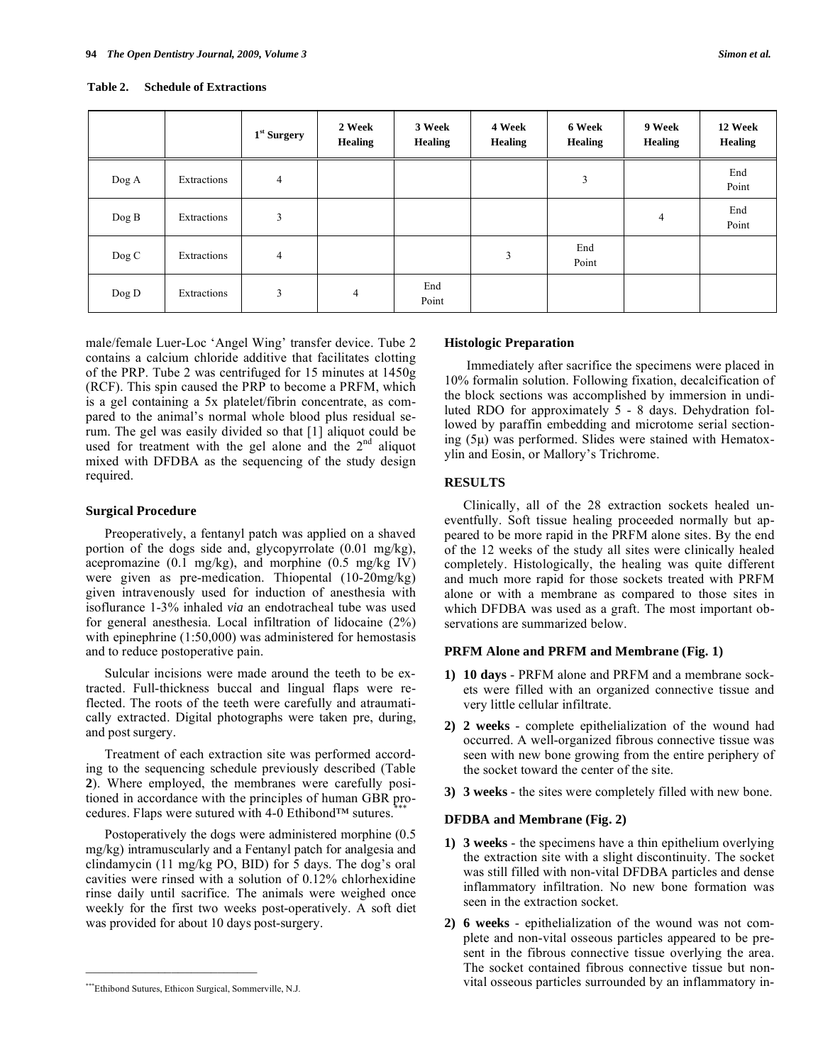#### **Table 2. Schedule of Extractions**

|          |             | $1st$ Surgery | 2 Week<br><b>Healing</b> | 3 Week<br><b>Healing</b> | 4 Week<br><b>Healing</b> | 6 Week<br><b>Healing</b> | 9 Week<br><b>Healing</b> | 12 Week<br><b>Healing</b> |
|----------|-------------|---------------|--------------------------|--------------------------|--------------------------|--------------------------|--------------------------|---------------------------|
| $\log A$ | Extractions | 4             |                          |                          |                          | 3                        |                          | End<br>Point              |
| $\log B$ | Extractions | 3             |                          |                          |                          |                          | 4                        | End<br>Point              |
| $\log C$ | Extractions | 4             |                          |                          | 3                        | End<br>Point             |                          |                           |
| $\log D$ | Extractions | 3             | 4                        | End<br>Point             |                          |                          |                          |                           |

male/female Luer-Loc 'Angel Wing' transfer device. Tube 2 contains a calcium chloride additive that facilitates clotting of the PRP. Tube 2 was centrifuged for 15 minutes at 1450g (RCF). This spin caused the PRP to become a PRFM, which is a gel containing a 5x platelet/fibrin concentrate, as compared to the animal's normal whole blood plus residual serum. The gel was easily divided so that [1] aliquot could be used for treatment with the gel alone and the  $2<sup>nd</sup>$  aliquot mixed with DFDBA as the sequencing of the study design required.

#### **Surgical Procedure**

 Preoperatively, a fentanyl patch was applied on a shaved portion of the dogs side and, glycopyrrolate (0.01 mg/kg), acepromazine  $(0.1 \text{ mg/kg})$ , and morphine  $(0.5 \text{ mg/kg IV})$ were given as pre-medication. Thiopental (10-20mg/kg) given intravenously used for induction of anesthesia with isoflurance 1-3% inhaled *via* an endotracheal tube was used for general anesthesia. Local infiltration of lidocaine (2%) with epinephrine (1:50,000) was administered for hemostasis and to reduce postoperative pain.

 Sulcular incisions were made around the teeth to be extracted. Full-thickness buccal and lingual flaps were reflected. The roots of the teeth were carefully and atraumatically extracted. Digital photographs were taken pre, during, and post surgery.

 Treatment of each extraction site was performed according to the sequencing schedule previously described (Table **2**). Where employed, the membranes were carefully positioned in accordance with the principles of human GBR procedures. Flaps were sutured with 4-0 Ethibond™ sutures.<sup>\*</sup>

 Postoperatively the dogs were administered morphine (0.5 mg/kg) intramuscularly and a Fentanyl patch for analgesia and clindamycin (11 mg/kg PO, BID) for 5 days. The dog's oral cavities were rinsed with a solution of 0.12% chlorhexidine rinse daily until sacrifice. The animals were weighed once weekly for the first two weeks post-operatively. A soft diet was provided for about 10 days post-surgery.

 $\mathcal{L}_\text{max}$  and  $\mathcal{L}_\text{max}$  and  $\mathcal{L}_\text{max}$ 

#### **Histologic Preparation**

 Immediately after sacrifice the specimens were placed in 10% formalin solution. Following fixation, decalcification of the block sections was accomplished by immersion in undiluted RDO for approximately 5 - 8 days. Dehydration followed by paraffin embedding and microtome serial sectioning (5μ) was performed. Slides were stained with Hematoxylin and Eosin, or Mallory's Trichrome.

## **RESULTS**

 Clinically, all of the 28 extraction sockets healed uneventfully. Soft tissue healing proceeded normally but appeared to be more rapid in the PRFM alone sites. By the end of the 12 weeks of the study all sites were clinically healed completely. Histologically, the healing was quite different and much more rapid for those sockets treated with PRFM alone or with a membrane as compared to those sites in which DFDBA was used as a graft. The most important observations are summarized below.

#### **PRFM Alone and PRFM and Membrane (Fig. 1)**

- **1) 10 days** PRFM alone and PRFM and a membrane sockets were filled with an organized connective tissue and very little cellular infiltrate.
- **2) 2 weeks** complete epithelialization of the wound had occurred. A well-organized fibrous connective tissue was seen with new bone growing from the entire periphery of the socket toward the center of the site.
- **3) 3 weeks** the sites were completely filled with new bone.

# **DFDBA and Membrane (Fig. 2)**

- **1) 3 weeks** the specimens have a thin epithelium overlying the extraction site with a slight discontinuity. The socket was still filled with non-vital DFDBA particles and dense inflammatory infiltration. No new bone formation was seen in the extraction socket.
- **2) 6 weeks** epithelialization of the wound was not complete and non-vital osseous particles appeared to be present in the fibrous connective tissue overlying the area. The socket contained fibrous connective tissue but nonvital osseous particles surrounded by an inflammatory in-

<sup>\*\*\*</sup>Ethibond Sutures, Ethicon Surgical, Sommerville, N.J.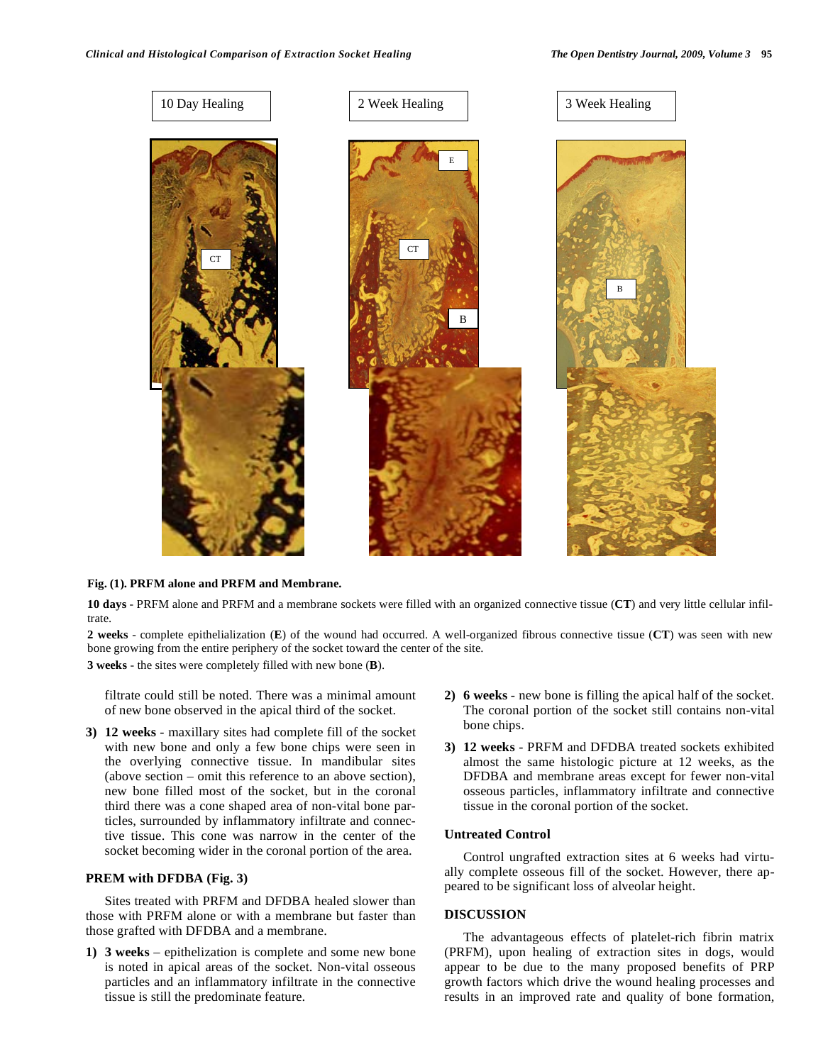

# **Fig. (1). PRFM alone and PRFM and Membrane.**

**10 days** - PRFM alone and PRFM and a membrane sockets were filled with an organized connective tissue (**CT**) and very little cellular infiltrate.

**2 weeks** - complete epithelialization (**E**) of the wound had occurred. A well-organized fibrous connective tissue (**CT**) was seen with new bone growing from the entire periphery of the socket toward the center of the site.

**3 weeks** - the sites were completely filled with new bone (**B**).

filtrate could still be noted. There was a minimal amount of new bone observed in the apical third of the socket.

**3) 12 weeks** - maxillary sites had complete fill of the socket with new bone and only a few bone chips were seen in the overlying connective tissue. In mandibular sites (above section – omit this reference to an above section), new bone filled most of the socket, but in the coronal third there was a cone shaped area of non-vital bone particles, surrounded by inflammatory infiltrate and connective tissue. This cone was narrow in the center of the socket becoming wider in the coronal portion of the area.

# **PREM with DFDBA (Fig. 3)**

 Sites treated with PRFM and DFDBA healed slower than those with PRFM alone or with a membrane but faster than those grafted with DFDBA and a membrane.

**1) 3 weeks** – epithelization is complete and some new bone is noted in apical areas of the socket. Non-vital osseous particles and an inflammatory infiltrate in the connective tissue is still the predominate feature.

- **2) 6 weeks** new bone is filling the apical half of the socket. The coronal portion of the socket still contains non-vital bone chips.
- **3) 12 weeks** PRFM and DFDBA treated sockets exhibited almost the same histologic picture at 12 weeks, as the DFDBA and membrane areas except for fewer non-vital osseous particles, inflammatory infiltrate and connective tissue in the coronal portion of the socket.

# **Untreated Control**

Control ungrafted extraction sites at 6 weeks had virtually complete osseous fill of the socket. However, there appeared to be significant loss of alveolar height.

## **DISCUSSION**

 The advantageous effects of platelet-rich fibrin matrix (PRFM), upon healing of extraction sites in dogs, would appear to be due to the many proposed benefits of PRP growth factors which drive the wound healing processes and results in an improved rate and quality of bone formation,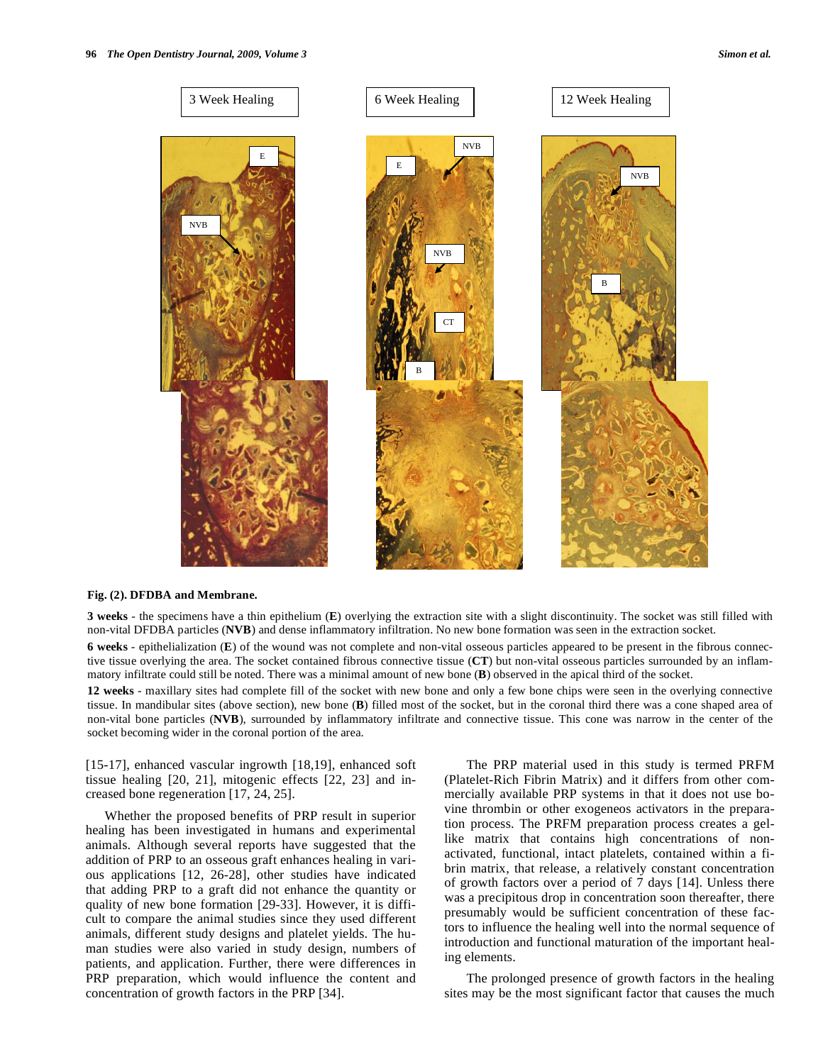

#### **Fig. (2). DFDBA and Membrane.**

**3 weeks** - the specimens have a thin epithelium (**E**) overlying the extraction site with a slight discontinuity. The socket was still filled with non-vital DFDBA particles (**NVB**) and dense inflammatory infiltration. No new bone formation was seen in the extraction socket.

**6 weeks** - epithelialization (**E**) of the wound was not complete and non-vital osseous particles appeared to be present in the fibrous connective tissue overlying the area. The socket contained fibrous connective tissue (**CT**) but non-vital osseous particles surrounded by an inflammatory infiltrate could still be noted. There was a minimal amount of new bone (**B**) observed in the apical third of the socket.

**12 weeks** - maxillary sites had complete fill of the socket with new bone and only a few bone chips were seen in the overlying connective tissue. In mandibular sites (above section), new bone (**B**) filled most of the socket, but in the coronal third there was a cone shaped area of non-vital bone particles (**NVB**), surrounded by inflammatory infiltrate and connective tissue. This cone was narrow in the center of the socket becoming wider in the coronal portion of the area.

[15-17], enhanced vascular ingrowth [18,19], enhanced soft tissue healing [20, 21], mitogenic effects [22, 23] and increased bone regeneration [17, 24, 25].

 Whether the proposed benefits of PRP result in superior healing has been investigated in humans and experimental animals. Although several reports have suggested that the addition of PRP to an osseous graft enhances healing in various applications [12, 26-28], other studies have indicated that adding PRP to a graft did not enhance the quantity or quality of new bone formation [29-33]. However, it is difficult to compare the animal studies since they used different animals, different study designs and platelet yields. The human studies were also varied in study design, numbers of patients, and application. Further, there were differences in PRP preparation, which would influence the content and concentration of growth factors in the PRP [34].

 The PRP material used in this study is termed PRFM (Platelet-Rich Fibrin Matrix) and it differs from other commercially available PRP systems in that it does not use bovine thrombin or other exogeneos activators in the preparation process. The PRFM preparation process creates a gellike matrix that contains high concentrations of nonactivated, functional, intact platelets, contained within a fibrin matrix, that release, a relatively constant concentration of growth factors over a period of 7 days [14]. Unless there was a precipitous drop in concentration soon thereafter, there presumably would be sufficient concentration of these factors to influence the healing well into the normal sequence of introduction and functional maturation of the important healing elements.

 The prolonged presence of growth factors in the healing sites may be the most significant factor that causes the much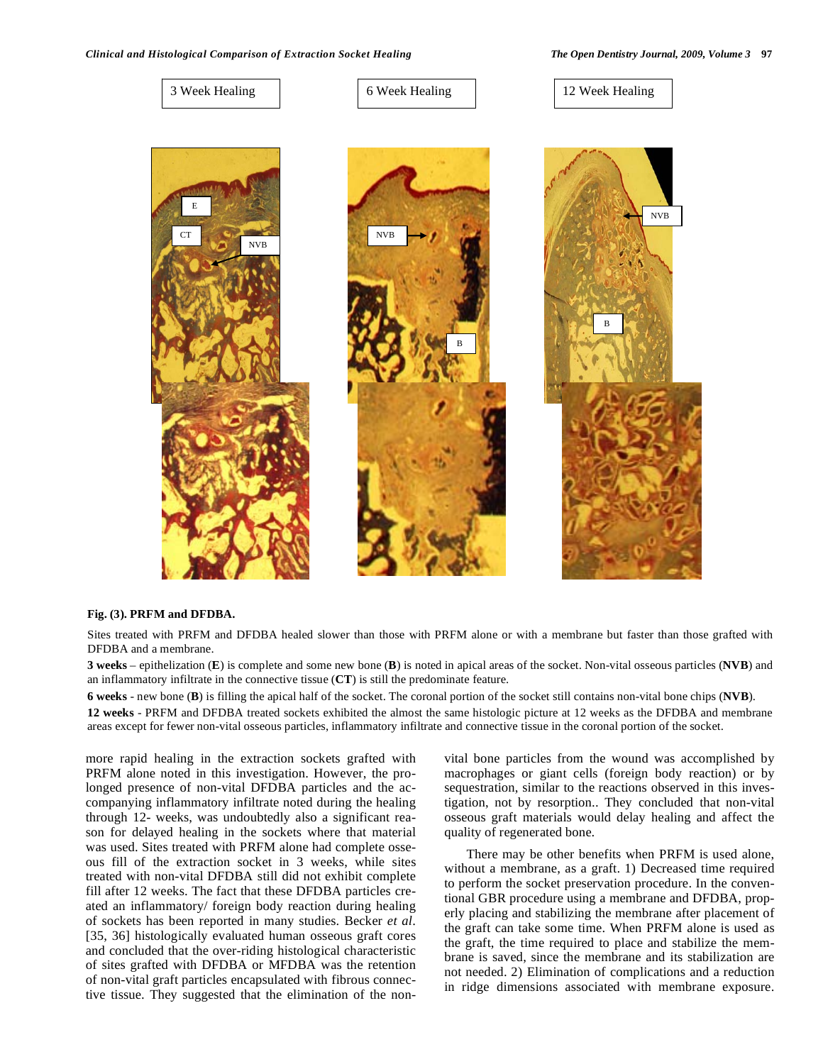

#### **Fig. (3). PRFM and DFDBA.**

Sites treated with PRFM and DFDBA healed slower than those with PRFM alone or with a membrane but faster than those grafted with DFDBA and a membrane.

**3 weeks** – epithelization (**E**) is complete and some new bone (**B**) is noted in apical areas of the socket. Non-vital osseous particles (**NVB**) and an inflammatory infiltrate in the connective tissue (**CT**) is still the predominate feature.

**6 weeks** - new bone (**B**) is filling the apical half of the socket. The coronal portion of the socket still contains non-vital bone chips (**NVB**).

**12 weeks** - PRFM and DFDBA treated sockets exhibited the almost the same histologic picture at 12 weeks as the DFDBA and membrane areas except for fewer non-vital osseous particles, inflammatory infiltrate and connective tissue in the coronal portion of the socket.

more rapid healing in the extraction sockets grafted with PRFM alone noted in this investigation. However, the prolonged presence of non-vital DFDBA particles and the accompanying inflammatory infiltrate noted during the healing through 12- weeks, was undoubtedly also a significant reason for delayed healing in the sockets where that material was used. Sites treated with PRFM alone had complete osseous fill of the extraction socket in 3 weeks, while sites treated with non-vital DFDBA still did not exhibit complete fill after 12 weeks. The fact that these DFDBA particles created an inflammatory/ foreign body reaction during healing of sockets has been reported in many studies. Becker *et al*. [35, 36] histologically evaluated human osseous graft cores and concluded that the over-riding histological characteristic of sites grafted with DFDBA or MFDBA was the retention of non-vital graft particles encapsulated with fibrous connective tissue. They suggested that the elimination of the nonvital bone particles from the wound was accomplished by macrophages or giant cells (foreign body reaction) or by sequestration, similar to the reactions observed in this investigation, not by resorption.. They concluded that non-vital osseous graft materials would delay healing and affect the quality of regenerated bone.

 There may be other benefits when PRFM is used alone, without a membrane, as a graft. 1) Decreased time required to perform the socket preservation procedure. In the conventional GBR procedure using a membrane and DFDBA, properly placing and stabilizing the membrane after placement of the graft can take some time. When PRFM alone is used as the graft, the time required to place and stabilize the membrane is saved, since the membrane and its stabilization are not needed. 2) Elimination of complications and a reduction in ridge dimensions associated with membrane exposure.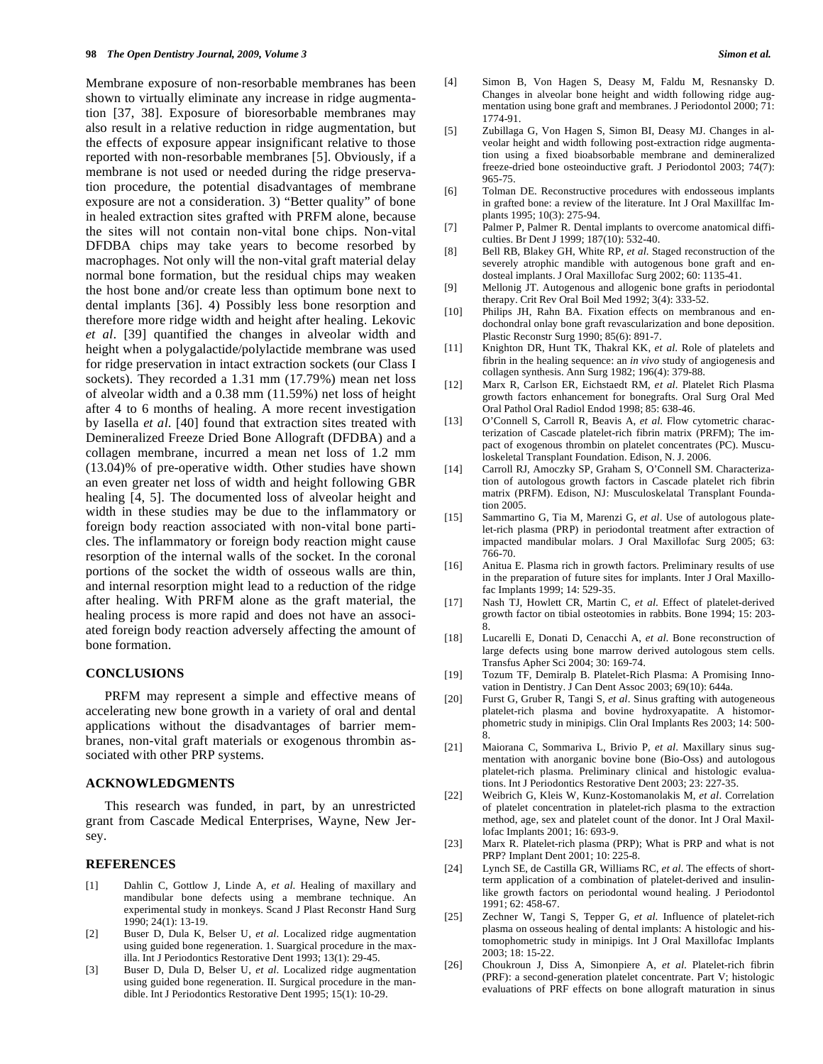Membrane exposure of non-resorbable membranes has been shown to virtually eliminate any increase in ridge augmentation [37, 38]. Exposure of bioresorbable membranes may also result in a relative reduction in ridge augmentation, but the effects of exposure appear insignificant relative to those reported with non-resorbable membranes [5]. Obviously, if a membrane is not used or needed during the ridge preservation procedure, the potential disadvantages of membrane exposure are not a consideration. 3) "Better quality" of bone in healed extraction sites grafted with PRFM alone, because the sites will not contain non-vital bone chips. Non-vital DFDBA chips may take years to become resorbed by macrophages. Not only will the non-vital graft material delay normal bone formation, but the residual chips may weaken the host bone and/or create less than optimum bone next to dental implants [36]. 4) Possibly less bone resorption and therefore more ridge width and height after healing. Lekovic *et al*. [39] quantified the changes in alveolar width and height when a polygalactide/polylactide membrane was used for ridge preservation in intact extraction sockets (our Class I sockets). They recorded a 1.31 mm (17.79%) mean net loss of alveolar width and a 0.38 mm (11.59%) net loss of height after 4 to 6 months of healing. A more recent investigation by Iasella *et al*. [40] found that extraction sites treated with Demineralized Freeze Dried Bone Allograft (DFDBA) and a collagen membrane, incurred a mean net loss of 1.2 mm (13.04)% of pre-operative width. Other studies have shown an even greater net loss of width and height following GBR healing [4, 5]. The documented loss of alveolar height and width in these studies may be due to the inflammatory or foreign body reaction associated with non-vital bone particles. The inflammatory or foreign body reaction might cause resorption of the internal walls of the socket. In the coronal portions of the socket the width of osseous walls are thin, and internal resorption might lead to a reduction of the ridge after healing. With PRFM alone as the graft material, the healing process is more rapid and does not have an associated foreign body reaction adversely affecting the amount of bone formation.

#### **CONCLUSIONS**

 PRFM may represent a simple and effective means of accelerating new bone growth in a variety of oral and dental applications without the disadvantages of barrier membranes, non-vital graft materials or exogenous thrombin associated with other PRP systems.

# **ACKNOWLEDGMENTS**

 This research was funded, in part, by an unrestricted grant from Cascade Medical Enterprises, Wayne, New Jersey.

#### **REFERENCES**

- [1] Dahlin C, Gottlow J, Linde A, *et al*. Healing of maxillary and mandibular bone defects using a membrane technique. An experimental study in monkeys. Scand J Plast Reconstr Hand Surg 1990; 24(1): 13-19.
- [2] Buser D, Dula K, Belser U, *et al*. Localized ridge augmentation using guided bone regeneration. 1. Suargical procedure in the maxilla. Int J Periodontics Restorative Dent 1993; 13(1): 29-45.
- [3] Buser D, Dula D, Belser U, *et al*. Localized ridge augmentation using guided bone regeneration. II. Surgical procedure in the mandible. Int J Periodontics Restorative Dent 1995; 15(1): 10-29.
- [4] Simon B, Von Hagen S, Deasy M, Faldu M, Resnansky D. Changes in alveolar bone height and width following ridge augmentation using bone graft and membranes. J Periodontol 2000; 71: 1774-91.
- [5] Zubillaga G, Von Hagen S, Simon BI, Deasy MJ. Changes in alveolar height and width following post-extraction ridge augmentation using a fixed bioabsorbable membrane and demineralized freeze-dried bone osteoinductive graft. J Periodontol 2003; 74(7): 965-75.
- [6] Tolman DE. Reconstructive procedures with endosseous implants in grafted bone: a review of the literature. Int J Oral Maxillfac Implants 1995; 10(3): 275-94.
- [7] Palmer P, Palmer R. Dental implants to overcome anatomical difficulties. Br Dent J 1999; 187(10): 532-40.
- [8] Bell RB, Blakey GH, White RP, *et al*. Staged reconstruction of the severely atrophic mandible with autogenous bone graft and endosteal implants. J Oral Maxillofac Surg 2002; 60: 1135-41.
- [9] Mellonig JT. Autogenous and allogenic bone grafts in periodontal therapy. Crit Rev Oral Boil Med 1992; 3(4): 333-52.
- [10] Philips JH, Rahn BA. Fixation effects on membranous and endochondral onlay bone graft revascularization and bone deposition. Plastic Reconstr Surg 1990; 85(6): 891-7.
- [11] Knighton DR, Hunt TK, Thakral KK, *et al*. Role of platelets and fibrin in the healing sequence: an *in vivo* study of angiogenesis and collagen synthesis. Ann Surg 1982; 196(4): 379-88.
- [12] Marx R, Carlson ER, Eichstaedt RM, *et al*. Platelet Rich Plasma growth factors enhancement for bonegrafts. Oral Surg Oral Med Oral Pathol Oral Radiol Endod 1998; 85: 638-46.
- [13] O'Connell S, Carroll R, Beavis A, *et al*. Flow cytometric characterization of Cascade platelet-rich fibrin matrix (PRFM); The impact of exogenous thrombin on platelet concentrates (PC). Musculoskeletal Transplant Foundation. Edison, N. J. 2006.
- [14] Carroll RJ, Amoczky SP, Graham S, O'Connell SM. Characterization of autologous growth factors in Cascade platelet rich fibrin matrix (PRFM). Edison, NJ: Musculoskelatal Transplant Foundation 2005.
- [15] Sammartino G, Tia M, Marenzi G, *et al*. Use of autologous platelet-rich plasma (PRP) in periodontal treatment after extraction of impacted mandibular molars. J Oral Maxillofac Surg 2005; 63: 766-70.
- [16] Anitua E. Plasma rich in growth factors. Preliminary results of use in the preparation of future sites for implants. Inter J Oral Maxillofac Implants 1999; 14: 529-35.
- [17] Nash TJ, Howlett CR, Martin C, *et al*. Effect of platelet-derived growth factor on tibial osteotomies in rabbits. Bone 1994; 15: 203- 8.
- [18] Lucarelli E, Donati D, Cenacchi A, *et al*. Bone reconstruction of large defects using bone marrow derived autologous stem cells. Transfus Apher Sci 2004; 30: 169-74.
- [19] Tozum TF, Demiralp B. Platelet-Rich Plasma: A Promising Innovation in Dentistry. J Can Dent Assoc 2003; 69(10): 644a.
- [20] Furst G, Gruber R, Tangi S, *et al*. Sinus grafting with autogeneous platelet-rich plasma and bovine hydroxyapatite. A histomorphometric study in minipigs. Clin Oral Implants Res 2003; 14: 500- 8.
- [21] Maiorana C, Sommariva L, Brivio P, *et al*. Maxillary sinus sugmentation with anorganic bovine bone (Bio-Oss) and autologous platelet-rich plasma. Preliminary clinical and histologic evaluations. Int J Periodontics Restorative Dent 2003; 23: 227-35.
- [22] Weibrich G, Kleis W, Kunz-Kostomanolakis M, *et al*. Correlation of platelet concentration in platelet-rich plasma to the extraction method, age, sex and platelet count of the donor. Int J Oral Maxillofac Implants 2001; 16: 693-9.
- [23] Marx R. Platelet-rich plasma (PRP); What is PRP and what is not PRP? Implant Dent 2001; 10: 225-8.
- [24] Lynch SE, de Castilla GR, Williams RC, *et al*. The effects of shortterm application of a combination of platelet-derived and insulinlike growth factors on periodontal wound healing. J Periodontol 1991; 62: 458-67.
- [25] Zechner W, Tangi S, Tepper G, *et al*. Influence of platelet-rich plasma on osseous healing of dental implants: A histologic and histomophometric study in minipigs. Int J Oral Maxillofac Implants 2003; 18: 15-22.
- [26] Choukroun J, Diss A, Simonpiere A, *et al*. Platelet-rich fibrin (PRF): a second-generation platelet concentrate. Part V; histologic evaluations of PRF effects on bone allograft maturation in sinus